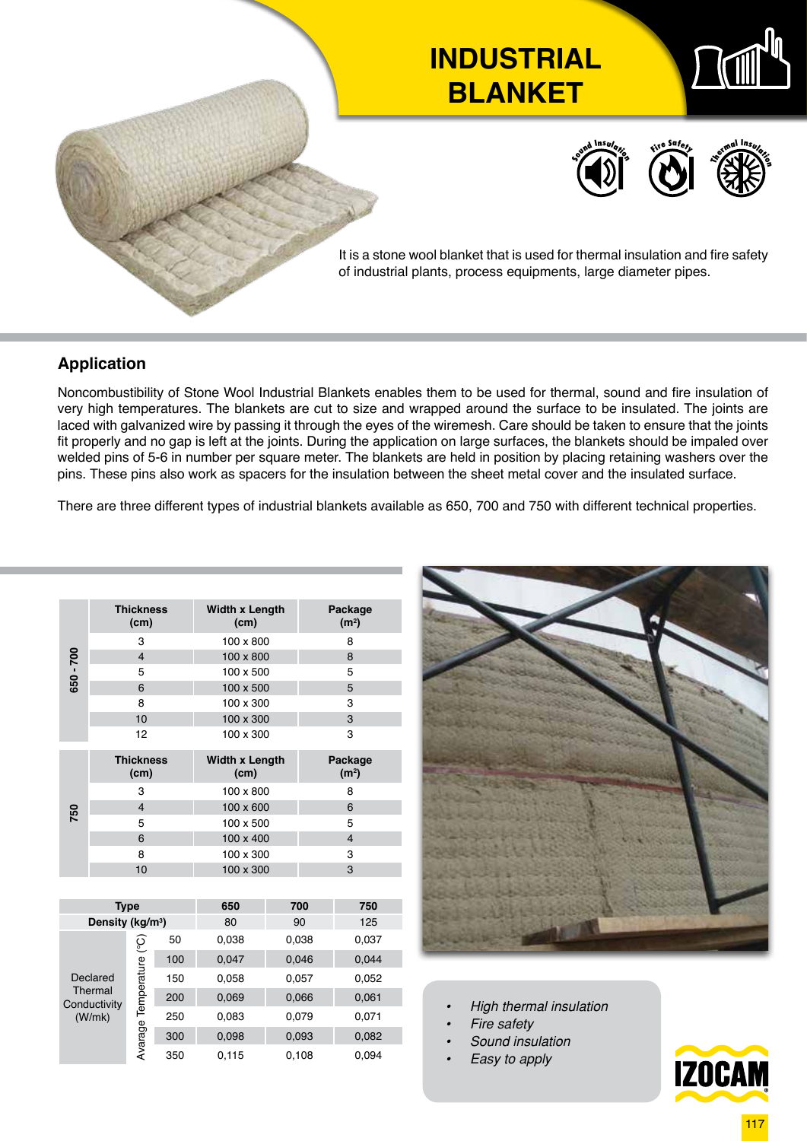

## **Application**

Noncombustibility of Stone Wool Industrial Blankets enables them to be used for thermal, sound and fire insulation of very high temperatures. The blankets are cut to size and wrapped around the surface to be insulated. The joints are laced with galvanized wire by passing it through the eyes of the wiremesh. Care should be taken to ensure that the joints fit properly and no gap is left at the joints. During the application on large surfaces, the blankets should be impaled over welded pins of 5-6 in number per square meter. The blankets are held in position by placing retaining washers over the pins. These pins also work as spacers for the insulation between the sheet metal cover and the insulated surface.

There are three different types of industrial blankets available as 650, 700 and 750 with different technical properties.

|           | <b>Thickness</b><br>(cm)                      |                          |     | <b>Width x Length</b><br>(cm) |       | Package<br>(m <sup>2</sup> ) |       |  |
|-----------|-----------------------------------------------|--------------------------|-----|-------------------------------|-------|------------------------------|-------|--|
|           |                                               | 3                        |     | 100 x 800                     |       | 8                            |       |  |
|           |                                               | $\overline{\mathbf{4}}$  |     | 100 x 800                     |       | 8                            |       |  |
| 650 - 700 |                                               | 5                        |     | 100 x 500                     |       | 5                            |       |  |
|           |                                               | 6                        |     | 100 x 500                     |       | 5                            |       |  |
|           | 8                                             |                          |     | 100 x 300                     |       | 3                            |       |  |
|           | 10                                            |                          |     | 100 x 300                     |       | 3                            |       |  |
|           | 12                                            |                          |     | 100 x 300                     |       | 3                            |       |  |
|           | <b>Thickness</b><br>(cm)                      |                          |     | <b>Width x Length</b><br>(cm) |       | Package<br>(m <sup>2</sup> ) |       |  |
|           | 3                                             |                          |     | 100 x 800                     |       | 8                            |       |  |
| 750       | $\overline{\mathbf{4}}$                       |                          |     | 100 x 600                     |       | 6                            |       |  |
|           | 5                                             |                          |     | 100 x 500                     |       | 5                            |       |  |
|           | 6                                             |                          |     | 100 x 400                     |       | $\overline{4}$               |       |  |
|           | 8                                             |                          |     | 100 x 300                     |       | 3                            |       |  |
|           |                                               | 10                       |     | 100 x 300                     |       | 3                            |       |  |
|           |                                               |                          |     |                               |       |                              |       |  |
|           | <b>Type</b>                                   |                          |     | 650                           | 700   |                              | 750   |  |
|           | Density (kg/m <sup>3</sup> )                  |                          |     | 80                            | 90    |                              | 125   |  |
|           | Declared<br>Thermal<br>Conductivity<br>(W/mk) |                          | 50  | 0,038                         | 0,038 |                              | 0,037 |  |
|           |                                               |                          | 100 | 0,047                         | 0,046 |                              | 0,044 |  |
|           |                                               | Avarage Temperature (°C) | 150 | 0,058                         | 0,057 |                              | 0,052 |  |
|           |                                               |                          | 200 | 0,069                         | 0,066 |                              | 0,061 |  |
|           |                                               |                          | 250 | 0,083                         | 0,079 |                              | 0,071 |  |
|           |                                               |                          | 300 | 0,098<br>0,093                |       |                              | 0,082 |  |
|           |                                               |                          | 350 | 0,115                         | 0,108 |                              | 0.094 |  |



- *• High thermal insulation*
- *• Fire safety*
- *• Sound insulation*
	- *• Easy to apply*